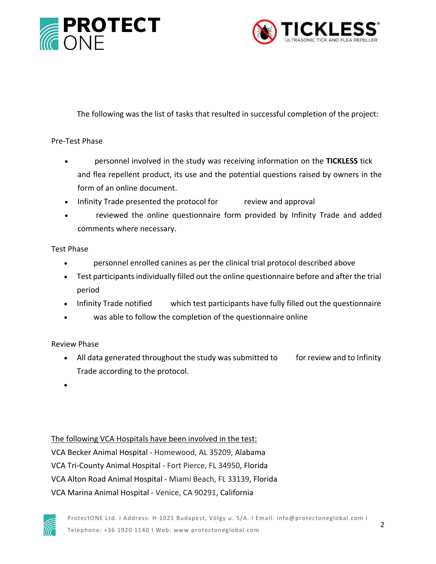



## **Description of the Project**

The following was the list of tasks that resulted in successful completion of the project:

#### Pre-Test Phase

- **VCA** personnel involved in the study was receiving information on the **TICKLESS** tick and flea repellent product, its use and the potential questions raised by owners in the form of an online document.
- Infinity Trade presented the protocol for **VCA's** review and approval
- **VCA** reviewed the online questionnaire form provided by Infinity Trade and added comments where necessary.

#### Test Phase

- **VCA** personnel enrolled canines as per the clinical trial protocol described above
- Test participants individually filled out the online questionnaire before and after the trial period
- Infinity Trade notified **VCA** which test participants have fully filled out the questionnaire
- **VCA** was able to follow the completion of the questionnaire online

### Review Phase

- All data generated throughout the study was submitted to **VCA** for review and to Infinity Trade according to the protocol.
- **The outcome of the test gave a clear picture on the efficacy of the ultrasonic tick and flea repellent since 94% of all pets involved stayed totally free of ticks and 88% stayed totally free of fleas thru out the whole test period.**

### The following VCA Hospitals have been involved in the test:

VCA Becker Animal Hospital - Homewood, AL 35209, Alabama VCA Tri-County Animal Hospital - Fort Pierce, FL 34950, Florida VCA Alton Road Animal Hospital - Miami Beach, FL 33139, Florida VCA Marina Animal Hospital - Venice, CA 90291, California